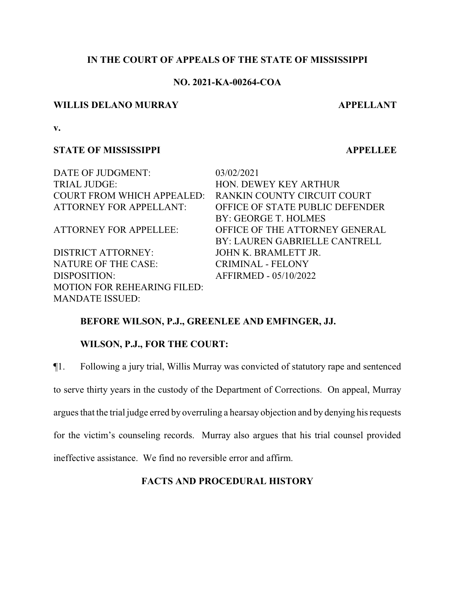## **IN THE COURT OF APPEALS OF THE STATE OF MISSISSIPPI**

## **NO. 2021-KA-00264-COA**

## **WILLIS DELANO MURRAY APPELLANT**

**v.**

## **STATE OF MISSISSIPPI APPELLEE**

DATE OF JUDGMENT: 03/02/2021 TRIAL JUDGE: HON. DEWEY KEY ARTHUR COURT FROM WHICH APPEALED: RANKIN COUNTY CIRCUIT COURT

DISTRICT ATTORNEY: JOHN K. BRAMLETT JR. NATURE OF THE CASE: CRIMINAL - FELONY DISPOSITION: AFFIRMED - 05/10/2022 MOTION FOR REHEARING FILED: MANDATE ISSUED:

ATTORNEY FOR APPELLANT: OFFICE OF STATE PUBLIC DEFENDER BY: GEORGE T. HOLMES ATTORNEY FOR APPELLEE: OFFICE OF THE ATTORNEY GENERAL BY: LAUREN GABRIELLE CANTRELL

# **BEFORE WILSON, P.J., GREENLEE AND EMFINGER, JJ.**

## **WILSON, P.J., FOR THE COURT:**

¶1. Following a jury trial, Willis Murray was convicted of statutory rape and sentenced to serve thirty years in the custody of the Department of Corrections. On appeal, Murray argues that the trial judge erred by overruling a hearsay objection and by denying his requests for the victim's counseling records. Murray also argues that his trial counsel provided ineffective assistance. We find no reversible error and affirm.

### **FACTS AND PROCEDURAL HISTORY**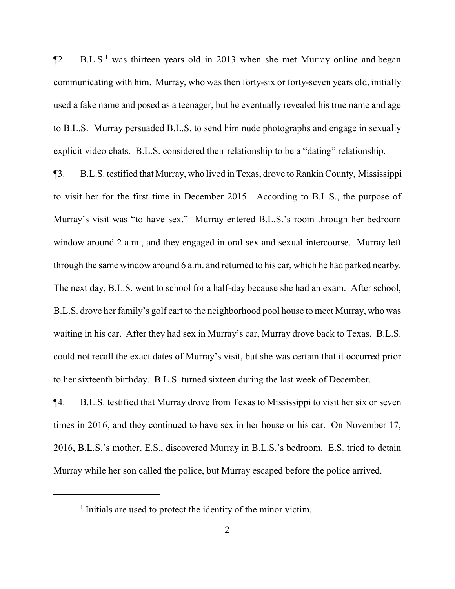$\P$ 2. B.L.S.<sup>1</sup> was thirteen years old in 2013 when she met Murray online and began communicating with him. Murray, who was then forty-six or forty-seven years old, initially used a fake name and posed as a teenager, but he eventually revealed his true name and age to B.L.S. Murray persuaded B.L.S. to send him nude photographs and engage in sexually explicit video chats. B.L.S. considered their relationship to be a "dating" relationship.

¶3. B.L.S. testified that Murray, who lived in Texas, drove to Rankin County, Mississippi to visit her for the first time in December 2015. According to B.L.S., the purpose of Murray's visit was "to have sex." Murray entered B.L.S.'s room through her bedroom window around 2 a.m., and they engaged in oral sex and sexual intercourse. Murray left through the same window around 6 a.m. and returned to his car, which he had parked nearby. The next day, B.L.S. went to school for a half-day because she had an exam. After school, B.L.S. drove her family's golf cart to the neighborhood pool house to meet Murray, who was waiting in his car. After they had sex in Murray's car, Murray drove back to Texas. B.L.S. could not recall the exact dates of Murray's visit, but she was certain that it occurred prior to her sixteenth birthday. B.L.S. turned sixteen during the last week of December.

¶4. B.L.S. testified that Murray drove from Texas to Mississippi to visit her six or seven times in 2016, and they continued to have sex in her house or his car. On November 17, 2016, B.L.S.'s mother, E.S., discovered Murray in B.L.S.'s bedroom. E.S. tried to detain Murray while her son called the police, but Murray escaped before the police arrived.

<sup>&</sup>lt;sup>1</sup> Initials are used to protect the identity of the minor victim.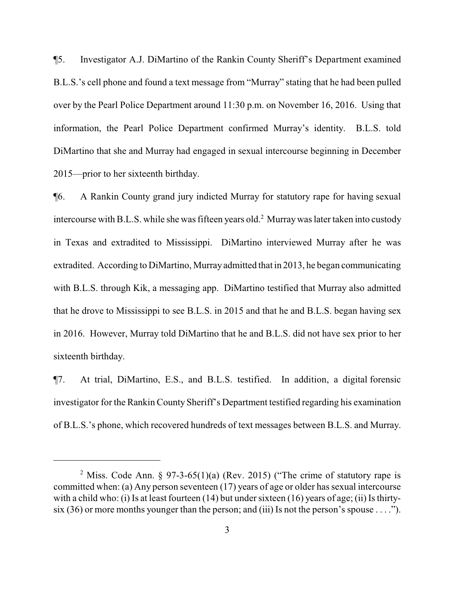¶5. Investigator A.J. DiMartino of the Rankin County Sheriff's Department examined B.L.S.'s cell phone and found a text message from "Murray" stating that he had been pulled over by the Pearl Police Department around 11:30 p.m. on November 16, 2016. Using that information, the Pearl Police Department confirmed Murray's identity. B.L.S. told DiMartino that she and Murray had engaged in sexual intercourse beginning in December 2015—prior to her sixteenth birthday.

¶6. A Rankin County grand jury indicted Murray for statutory rape for having sexual intercourse with B.L.S. while she was fifteen years old.<sup>2</sup> Murray was later taken into custody in Texas and extradited to Mississippi. DiMartino interviewed Murray after he was extradited. According to DiMartino, Murray admitted that in 2013, he began communicating with B.L.S. through Kik, a messaging app. DiMartino testified that Murray also admitted that he drove to Mississippi to see B.L.S. in 2015 and that he and B.L.S. began having sex in 2016. However, Murray told DiMartino that he and B.L.S. did not have sex prior to her sixteenth birthday.

¶7. At trial, DiMartino, E.S., and B.L.S. testified. In addition, a digital forensic investigator for the Rankin County Sheriff's Department testified regarding his examination of B.L.S.'s phone, which recovered hundreds of text messages between B.L.S. and Murray.

<sup>&</sup>lt;sup>2</sup> Miss. Code Ann. § 97-3-65(1)(a) (Rev. 2015) ("The crime of statutory rape is committed when: (a) Any person seventeen (17) years of age or older has sexual intercourse with a child who: (i) Is at least fourteen (14) but under sixteen (16) years of age; (ii) Is thirtysix (36) or more months younger than the person; and (iii) Is not the person's spouse . . . .").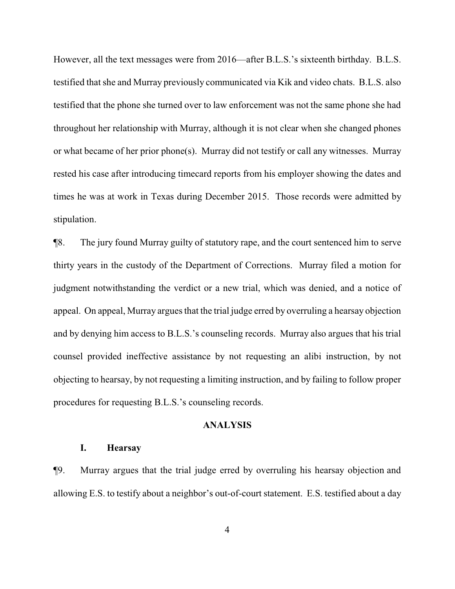However, all the text messages were from 2016—after B.L.S.'s sixteenth birthday. B.L.S. testified that she and Murray previously communicated via Kik and video chats. B.L.S. also testified that the phone she turned over to law enforcement was not the same phone she had throughout her relationship with Murray, although it is not clear when she changed phones or what became of her prior phone(s). Murray did not testify or call any witnesses. Murray rested his case after introducing timecard reports from his employer showing the dates and times he was at work in Texas during December 2015. Those records were admitted by stipulation.

¶8. The jury found Murray guilty of statutory rape, and the court sentenced him to serve thirty years in the custody of the Department of Corrections. Murray filed a motion for judgment notwithstanding the verdict or a new trial, which was denied, and a notice of appeal. On appeal, Murray argues that the trial judge erred by overruling a hearsay objection and by denying him access to B.L.S.'s counseling records. Murray also argues that his trial counsel provided ineffective assistance by not requesting an alibi instruction, by not objecting to hearsay, by not requesting a limiting instruction, and by failing to follow proper procedures for requesting B.L.S.'s counseling records.

#### **ANALYSIS**

### **I. Hearsay**

¶9. Murray argues that the trial judge erred by overruling his hearsay objection and allowing E.S. to testify about a neighbor's out-of-court statement. E.S. testified about a day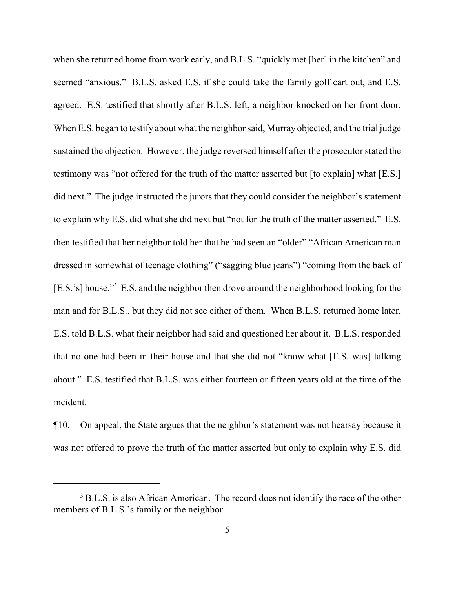when she returned home from work early, and B.L.S. "quickly met [her] in the kitchen" and seemed "anxious." B.L.S. asked E.S. if she could take the family golf cart out, and E.S. agreed. E.S. testified that shortly after B.L.S. left, a neighbor knocked on her front door. When E.S. began to testify about what the neighbor said, Murray objected, and the trial judge sustained the objection. However, the judge reversed himself after the prosecutor stated the testimony was "not offered for the truth of the matter asserted but [to explain] what [E.S.] did next." The judge instructed the jurors that they could consider the neighbor's statement to explain why E.S. did what she did next but "not for the truth of the matter asserted." E.S. then testified that her neighbor told her that he had seen an "older" "African American man dressed in somewhat of teenage clothing" ("sagging blue jeans") "coming from the back of [E.S.'s] house."<sup>3</sup> E.S. and the neighbor then drove around the neighborhood looking for the man and for B.L.S., but they did not see either of them. When B.L.S. returned home later, E.S. told B.L.S. what their neighbor had said and questioned her about it. B.L.S. responded that no one had been in their house and that she did not "know what [E.S. was] talking about." E.S. testified that B.L.S. was either fourteen or fifteen years old at the time of the incident.

¶10. On appeal, the State argues that the neighbor's statement was not hearsay because it was not offered to prove the truth of the matter asserted but only to explain why E.S. did

<sup>&</sup>lt;sup>3</sup> B.L.S. is also African American. The record does not identify the race of the other members of B.L.S.'s family or the neighbor.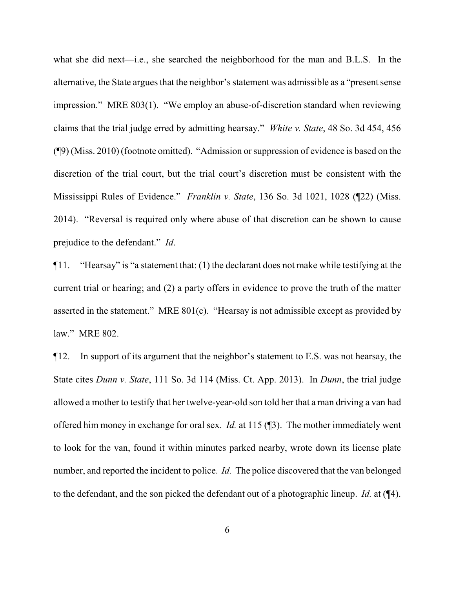what she did next—i.e., she searched the neighborhood for the man and B.L.S. In the alternative, the State argues that the neighbor's statement was admissible as a "present sense impression." MRE 803(1). "We employ an abuse-of-discretion standard when reviewing claims that the trial judge erred by admitting hearsay." *White v. State*, 48 So. 3d 454, 456 (¶9) (Miss. 2010) (footnote omitted). "Admission or suppression of evidence is based on the discretion of the trial court, but the trial court's discretion must be consistent with the Mississippi Rules of Evidence." *Franklin v. State*, 136 So. 3d 1021, 1028 (¶22) (Miss. 2014). "Reversal is required only where abuse of that discretion can be shown to cause prejudice to the defendant." *Id*.

¶11. "Hearsay" is "a statement that: (1) the declarant does not make while testifying at the current trial or hearing; and (2) a party offers in evidence to prove the truth of the matter asserted in the statement." MRE 801(c). "Hearsay is not admissible except as provided by law." MRE 802.

¶12. In support of its argument that the neighbor's statement to E.S. was not hearsay, the State cites *Dunn v. State*, 111 So. 3d 114 (Miss. Ct. App. 2013). In *Dunn*, the trial judge allowed a mother to testify that her twelve-year-old son told her that a man driving a van had offered him money in exchange for oral sex. *Id.* at 115 (¶3). The mother immediately went to look for the van, found it within minutes parked nearby, wrote down its license plate number, and reported the incident to police. *Id.* The police discovered that the van belonged to the defendant, and the son picked the defendant out of a photographic lineup. *Id.* at (¶4).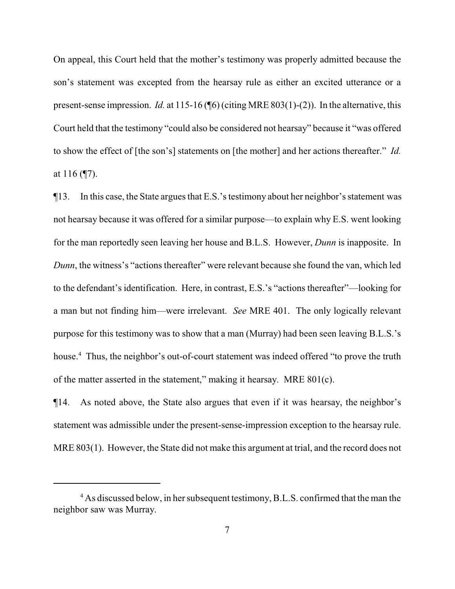On appeal, this Court held that the mother's testimony was properly admitted because the son's statement was excepted from the hearsay rule as either an excited utterance or a present-sense impression. *Id.* at 115-16 (¶6) (citing MRE 803(1)-(2)). In the alternative, this Court held that the testimony "could also be considered not hearsay" because it "was offered to show the effect of [the son's] statements on [the mother] and her actions thereafter." *Id.* at 116 (¶7).

¶13. In this case, the State argues that E.S.'s testimony about her neighbor's statement was not hearsay because it was offered for a similar purpose—to explain why E.S. went looking for the man reportedly seen leaving her house and B.L.S. However, *Dunn* is inapposite. In *Dunn*, the witness's "actions thereafter" were relevant because she found the van, which led to the defendant's identification. Here, in contrast, E.S.'s "actions thereafter"—looking for a man but not finding him—were irrelevant. *See* MRE 401. The only logically relevant purpose for this testimony was to show that a man (Murray) had been seen leaving B.L.S.'s house.<sup>4</sup> Thus, the neighbor's out-of-court statement was indeed offered "to prove the truth of the matter asserted in the statement," making it hearsay. MRE 801(c).

¶14. As noted above, the State also argues that even if it was hearsay, the neighbor's statement was admissible under the present-sense-impression exception to the hearsay rule. MRE 803(1). However, the State did not make this argument at trial, and the record does not

<sup>&</sup>lt;sup>4</sup> As discussed below, in her subsequent testimony, B.L.S. confirmed that the man the neighbor saw was Murray.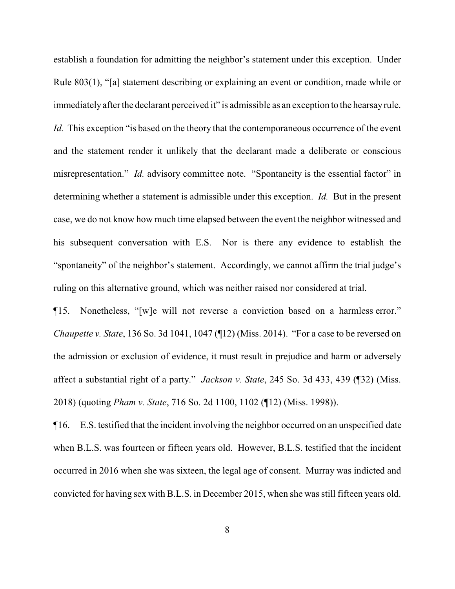establish a foundation for admitting the neighbor's statement under this exception. Under Rule 803(1), "[a] statement describing or explaining an event or condition, made while or immediately after the declarant perceived it" is admissible as an exception to the hearsay rule. *Id.* This exception "is based on the theory that the contemporaneous occurrence of the event and the statement render it unlikely that the declarant made a deliberate or conscious misrepresentation." *Id.* advisory committee note. "Spontaneity is the essential factor" in determining whether a statement is admissible under this exception. *Id.* But in the present case, we do not know how much time elapsed between the event the neighbor witnessed and his subsequent conversation with E.S. Nor is there any evidence to establish the "spontaneity" of the neighbor's statement. Accordingly, we cannot affirm the trial judge's ruling on this alternative ground, which was neither raised nor considered at trial.

¶15. Nonetheless, "[w]e will not reverse a conviction based on a harmless error." *Chaupette v. State*, 136 So. 3d 1041, 1047 (¶12) (Miss. 2014). "For a case to be reversed on the admission or exclusion of evidence, it must result in prejudice and harm or adversely affect a substantial right of a party." *Jackson v. State*, 245 So. 3d 433, 439 (¶32) (Miss. 2018) (quoting *Pham v. State*, 716 So. 2d 1100, 1102 (¶12) (Miss. 1998)).

¶16. E.S. testified that the incident involving the neighbor occurred on an unspecified date when B.L.S. was fourteen or fifteen years old. However, B.L.S. testified that the incident occurred in 2016 when she was sixteen, the legal age of consent. Murray was indicted and convicted for having sex with B.L.S. in December 2015, when she was still fifteen years old.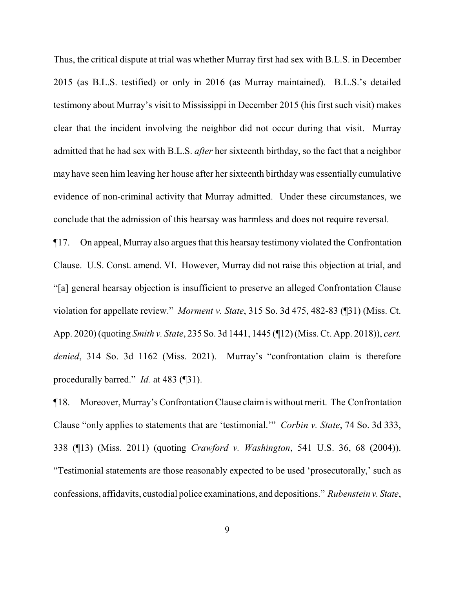Thus, the critical dispute at trial was whether Murray first had sex with B.L.S. in December 2015 (as B.L.S. testified) or only in 2016 (as Murray maintained). B.L.S.'s detailed testimony about Murray's visit to Mississippi in December 2015 (his first such visit) makes clear that the incident involving the neighbor did not occur during that visit. Murray admitted that he had sex with B.L.S. *after* her sixteenth birthday, so the fact that a neighbor may have seen him leaving her house after her sixteenth birthday was essentially cumulative evidence of non-criminal activity that Murray admitted. Under these circumstances, we conclude that the admission of this hearsay was harmless and does not require reversal.

¶17. On appeal, Murray also argues that this hearsay testimony violated the Confrontation Clause. U.S. Const. amend. VI. However, Murray did not raise this objection at trial, and "[a] general hearsay objection is insufficient to preserve an alleged Confrontation Clause violation for appellate review." *Morment v. State*, 315 So. 3d 475, 482-83 (¶31) (Miss. Ct. App. 2020) (quoting *Smith v. State*, 235 So. 3d 1441, 1445 (¶12) (Miss. Ct. App. 2018)), *cert. denied*, 314 So. 3d 1162 (Miss. 2021). Murray's "confrontation claim is therefore procedurally barred." *Id.* at 483 (¶31).

¶18. Moreover, Murray's Confrontation Clause claimis without merit. The Confrontation Clause "only applies to statements that are 'testimonial.'" *Corbin v. State*, 74 So. 3d 333, 338 (¶13) (Miss. 2011) (quoting *Crawford v. Washington*, 541 U.S. 36, 68 (2004)). "Testimonial statements are those reasonably expected to be used 'prosecutorally,' such as confessions, affidavits, custodial police examinations, and depositions." *Rubenstein v. State*,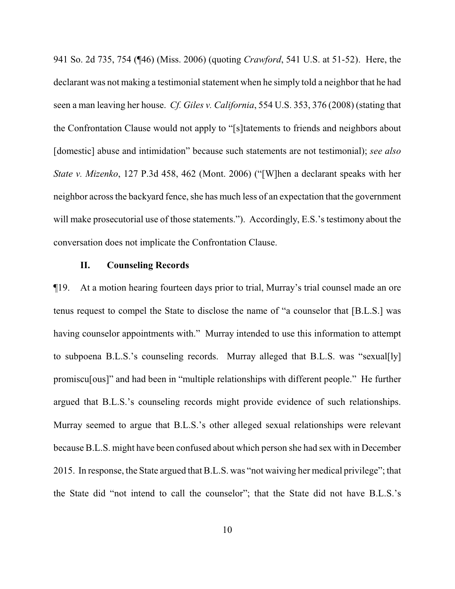941 So. 2d 735, 754 (¶46) (Miss. 2006) (quoting *Crawford*, 541 U.S. at 51-52). Here, the declarant was not making a testimonial statement when he simply told a neighbor that he had seen a man leaving her house. *Cf. Giles v. California*, 554 U.S. 353, 376 (2008) (stating that the Confrontation Clause would not apply to "[s]tatements to friends and neighbors about [domestic] abuse and intimidation" because such statements are not testimonial); *see also State v. Mizenko*, 127 P.3d 458, 462 (Mont. 2006) ("[W]hen a declarant speaks with her neighbor across the backyard fence, she has much less of an expectation that the government will make prosecutorial use of those statements."). Accordingly, E.S.'s testimony about the conversation does not implicate the Confrontation Clause.

#### **II. Counseling Records**

¶19. At a motion hearing fourteen days prior to trial, Murray's trial counsel made an ore tenus request to compel the State to disclose the name of "a counselor that [B.L.S.] was having counselor appointments with." Murray intended to use this information to attempt to subpoena B.L.S.'s counseling records. Murray alleged that B.L.S. was "sexual[ly] promiscu[ous]" and had been in "multiple relationships with different people." He further argued that B.L.S.'s counseling records might provide evidence of such relationships. Murray seemed to argue that B.L.S.'s other alleged sexual relationships were relevant because B.L.S. might have been confused about which person she had sex with in December 2015. In response, the State argued that B.L.S. was "not waiving her medical privilege"; that the State did "not intend to call the counselor"; that the State did not have B.L.S.'s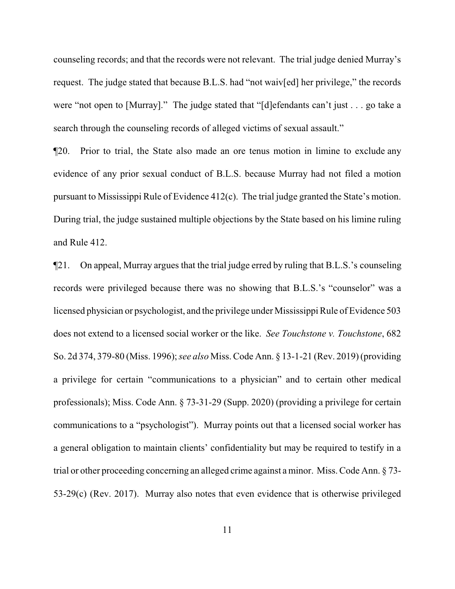counseling records; and that the records were not relevant. The trial judge denied Murray's request. The judge stated that because B.L.S. had "not waiv[ed] her privilege," the records were "not open to [Murray]." The judge stated that "[d]efendants can't just . . . go take a search through the counseling records of alleged victims of sexual assault."

¶20. Prior to trial, the State also made an ore tenus motion in limine to exclude any evidence of any prior sexual conduct of B.L.S. because Murray had not filed a motion pursuant to Mississippi Rule of Evidence 412(c). The trial judge granted the State's motion. During trial, the judge sustained multiple objections by the State based on his limine ruling and Rule 412.

¶21. On appeal, Murray argues that the trial judge erred by ruling that B.L.S.'s counseling records were privileged because there was no showing that B.L.S.'s "counselor" was a licensed physician or psychologist, and the privilege under Mississippi Rule of Evidence 503 does not extend to a licensed social worker or the like. *See Touchstone v. Touchstone*, 682 So. 2d 374, 379-80 (Miss. 1996); *see also* Miss. Code Ann. § 13-1-21 (Rev. 2019) (providing a privilege for certain "communications to a physician" and to certain other medical professionals); Miss. Code Ann. § 73-31-29 (Supp. 2020) (providing a privilege for certain communications to a "psychologist"). Murray points out that a licensed social worker has a general obligation to maintain clients' confidentiality but may be required to testify in a trial or other proceeding concerning an alleged crime against a minor. Miss. Code Ann. § 73- 53-29(c) (Rev. 2017). Murray also notes that even evidence that is otherwise privileged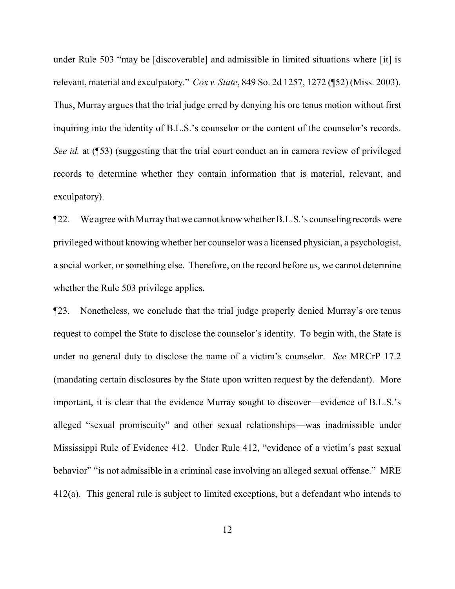under Rule 503 "may be [discoverable] and admissible in limited situations where [it] is relevant, material and exculpatory." *Cox v. State*, 849 So. 2d 1257, 1272 (¶52) (Miss. 2003). Thus, Murray argues that the trial judge erred by denying his ore tenus motion without first inquiring into the identity of B.L.S.'s counselor or the content of the counselor's records. *See id.* at (153) (suggesting that the trial court conduct an in camera review of privileged records to determine whether they contain information that is material, relevant, and exculpatory).

¶22. We agree with Murraythat we cannot know whether B.L.S.'s counseling records were privileged without knowing whether her counselor was a licensed physician, a psychologist, a social worker, or something else. Therefore, on the record before us, we cannot determine whether the Rule 503 privilege applies.

¶23. Nonetheless, we conclude that the trial judge properly denied Murray's ore tenus request to compel the State to disclose the counselor's identity. To begin with, the State is under no general duty to disclose the name of a victim's counselor. *See* MRCrP 17.2 (mandating certain disclosures by the State upon written request by the defendant). More important, it is clear that the evidence Murray sought to discover—evidence of B.L.S.'s alleged "sexual promiscuity" and other sexual relationships—was inadmissible under Mississippi Rule of Evidence 412. Under Rule 412, "evidence of a victim's past sexual behavior" "is not admissible in a criminal case involving an alleged sexual offense." MRE 412(a). This general rule is subject to limited exceptions, but a defendant who intends to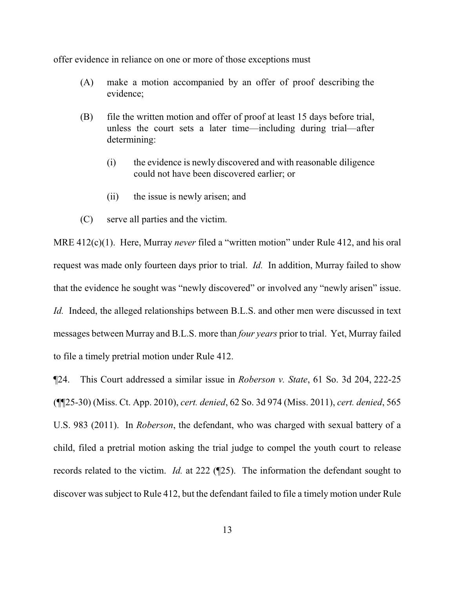offer evidence in reliance on one or more of those exceptions must

- (A) make a motion accompanied by an offer of proof describing the evidence;
- (B) file the written motion and offer of proof at least 15 days before trial, unless the court sets a later time—including during trial—after determining:
	- (i) the evidence is newly discovered and with reasonable diligence could not have been discovered earlier; or
	- (ii) the issue is newly arisen; and
- (C) serve all parties and the victim.

MRE 412(c)(1). Here, Murray *never* filed a "written motion" under Rule 412, and his oral request was made only fourteen days prior to trial. *Id.* In addition, Murray failed to show that the evidence he sought was "newly discovered" or involved any "newly arisen" issue. *Id.* Indeed, the alleged relationships between B.L.S. and other men were discussed in text messages between Murray and B.L.S. more than *four years* prior to trial. Yet, Murray failed to file a timely pretrial motion under Rule 412.

¶24. This Court addressed a similar issue in *Roberson v. State*, 61 So. 3d 204, 222-25 (¶¶25-30) (Miss. Ct. App. 2010), *cert. denied*, 62 So. 3d 974 (Miss. 2011), *cert. denied*, 565 U.S. 983 (2011). In *Roberson*, the defendant, who was charged with sexual battery of a child, filed a pretrial motion asking the trial judge to compel the youth court to release records related to the victim. *Id.* at 222 (¶25). The information the defendant sought to discover was subject to Rule 412, but the defendant failed to file a timely motion under Rule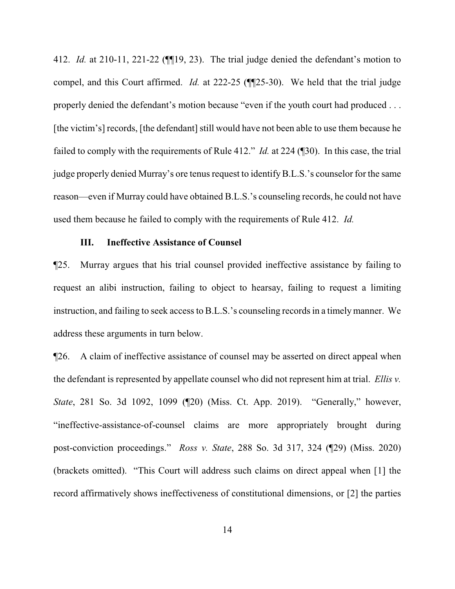412. *Id.* at 210-11, 221-22 (¶¶19, 23). The trial judge denied the defendant's motion to compel, and this Court affirmed. *Id.* at 222-25 (¶¶25-30). We held that the trial judge properly denied the defendant's motion because "even if the youth court had produced . . . [the victim's] records, [the defendant] still would have not been able to use them because he failed to comply with the requirements of Rule 412." *Id.* at 224 (¶30). In this case, the trial judge properly denied Murray's ore tenus request to identifyB.L.S.'s counselor for the same reason—even if Murray could have obtained B.L.S.'s counseling records, he could not have used them because he failed to comply with the requirements of Rule 412. *Id.*

#### **III. Ineffective Assistance of Counsel**

¶25. Murray argues that his trial counsel provided ineffective assistance by failing to request an alibi instruction, failing to object to hearsay, failing to request a limiting instruction, and failing to seek access to B.L.S.'s counseling records in a timelymanner. We address these arguments in turn below.

¶26. A claim of ineffective assistance of counsel may be asserted on direct appeal when the defendant is represented by appellate counsel who did not represent him at trial. *Ellis v. State*, 281 So. 3d 1092, 1099 (¶20) (Miss. Ct. App. 2019). "Generally," however, "ineffective-assistance-of-counsel claims are more appropriately brought during post-conviction proceedings." *Ross v. State*, 288 So. 3d 317, 324 (¶29) (Miss. 2020) (brackets omitted). "This Court will address such claims on direct appeal when [1] the record affirmatively shows ineffectiveness of constitutional dimensions, or [2] the parties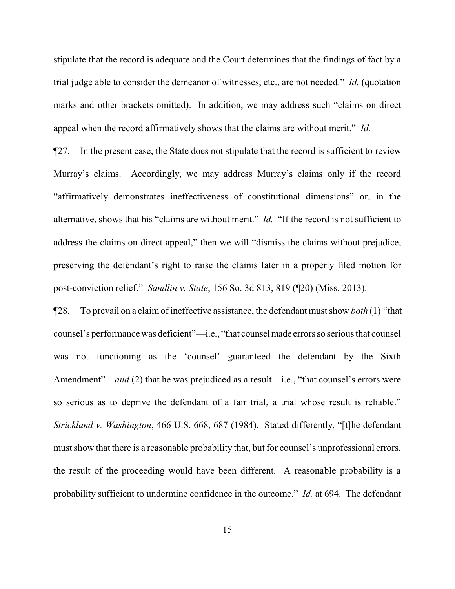stipulate that the record is adequate and the Court determines that the findings of fact by a trial judge able to consider the demeanor of witnesses, etc., are not needed." *Id.* (quotation marks and other brackets omitted). In addition, we may address such "claims on direct appeal when the record affirmatively shows that the claims are without merit." *Id.* 

¶27. In the present case, the State does not stipulate that the record is sufficient to review Murray's claims. Accordingly, we may address Murray's claims only if the record "affirmatively demonstrates ineffectiveness of constitutional dimensions" or, in the alternative, shows that his "claims are without merit." *Id.* "If the record is not sufficient to address the claims on direct appeal," then we will "dismiss the claims without prejudice, preserving the defendant's right to raise the claims later in a properly filed motion for post-conviction relief." *Sandlin v. State*, 156 So. 3d 813, 819 (¶20) (Miss. 2013).

¶28. To prevail on a claimof ineffective assistance, the defendant must show *both* (1) "that counsel's performance was deficient"—i.e., "that counselmade errors so serious that counsel was not functioning as the 'counsel' guaranteed the defendant by the Sixth Amendment"—*and* (2) that he was prejudiced as a result—i.e., "that counsel's errors were so serious as to deprive the defendant of a fair trial, a trial whose result is reliable." *Strickland v. Washington*, 466 U.S. 668, 687 (1984). Stated differently, "[t]he defendant must show that there is a reasonable probability that, but for counsel's unprofessional errors, the result of the proceeding would have been different. A reasonable probability is a probability sufficient to undermine confidence in the outcome." *Id.* at 694. The defendant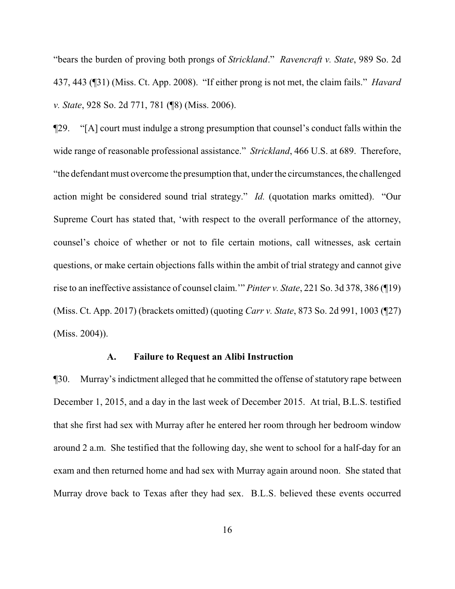"bears the burden of proving both prongs of *Strickland*." *Ravencraft v. State*, 989 So. 2d 437, 443 (¶31) (Miss. Ct. App. 2008). "If either prong is not met, the claim fails." *Havard v. State*, 928 So. 2d 771, 781 (¶8) (Miss. 2006).

¶29. "[A] court must indulge a strong presumption that counsel's conduct falls within the wide range of reasonable professional assistance." *Strickland*, 466 U.S. at 689. Therefore, "the defendant must overcome the presumption that, under the circumstances, the challenged action might be considered sound trial strategy." *Id.* (quotation marks omitted). "Our Supreme Court has stated that, 'with respect to the overall performance of the attorney, counsel's choice of whether or not to file certain motions, call witnesses, ask certain questions, or make certain objections falls within the ambit of trial strategy and cannot give rise to an ineffective assistance of counsel claim.'" *Pinter v. State*, 221 So. 3d 378, 386 (¶19) (Miss. Ct. App. 2017) (brackets omitted) (quoting *Carr v. State*, 873 So. 2d 991, 1003 (¶27) (Miss. 2004)).

#### **A. Failure to Request an Alibi Instruction**

¶30. Murray's indictment alleged that he committed the offense of statutory rape between December 1, 2015, and a day in the last week of December 2015. At trial, B.L.S. testified that she first had sex with Murray after he entered her room through her bedroom window around 2 a.m. She testified that the following day, she went to school for a half-day for an exam and then returned home and had sex with Murray again around noon. She stated that Murray drove back to Texas after they had sex. B.L.S. believed these events occurred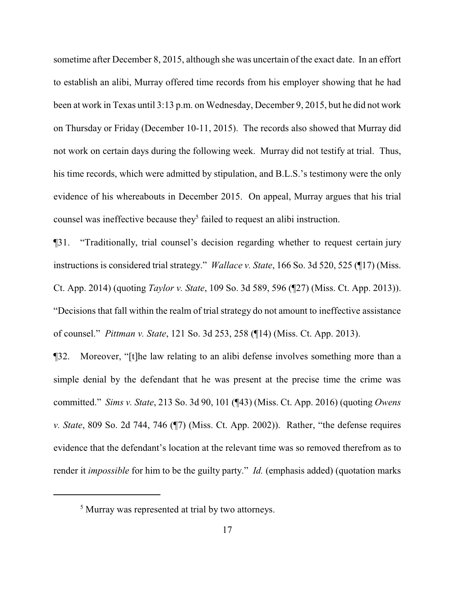sometime after December 8, 2015, although she was uncertain of the exact date. In an effort to establish an alibi, Murray offered time records from his employer showing that he had been at work in Texas until 3:13 p.m. on Wednesday, December 9, 2015, but he did not work on Thursday or Friday (December 10-11, 2015). The records also showed that Murray did not work on certain days during the following week. Murray did not testify at trial. Thus, his time records, which were admitted by stipulation, and B.L.S.'s testimony were the only evidence of his whereabouts in December 2015. On appeal, Murray argues that his trial counsel was ineffective because they<sup>5</sup> failed to request an alibi instruction.

¶31. "Traditionally, trial counsel's decision regarding whether to request certain jury instructions is considered trial strategy." *Wallace v. State*, 166 So. 3d 520, 525 (¶17) (Miss. Ct. App. 2014) (quoting *Taylor v. State*, 109 So. 3d 589, 596 (¶27) (Miss. Ct. App. 2013)). "Decisions that fall within the realm of trial strategy do not amount to ineffective assistance of counsel." *Pittman v. State*, 121 So. 3d 253, 258 (¶14) (Miss. Ct. App. 2013).

¶32. Moreover, "[t]he law relating to an alibi defense involves something more than a simple denial by the defendant that he was present at the precise time the crime was committed." *Sims v. State*, 213 So. 3d 90, 101 (¶43) (Miss. Ct. App. 2016) (quoting *Owens v. State*, 809 So. 2d 744, 746 (¶7) (Miss. Ct. App. 2002)). Rather, "the defense requires evidence that the defendant's location at the relevant time was so removed therefrom as to render it *impossible* for him to be the guilty party." *Id.* (emphasis added) (quotation marks

<sup>&</sup>lt;sup>5</sup> Murray was represented at trial by two attorneys.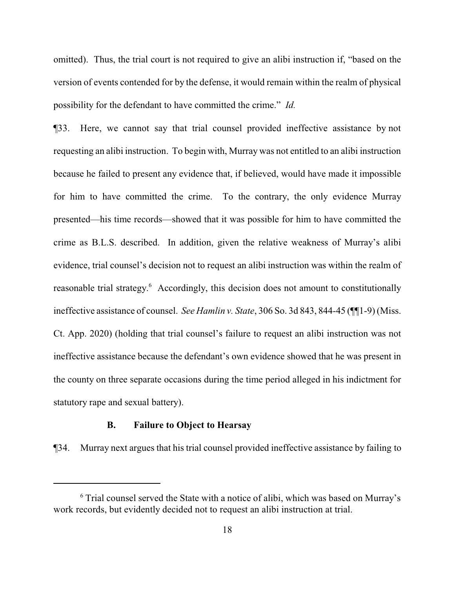omitted). Thus, the trial court is not required to give an alibi instruction if, "based on the version of events contended for by the defense, it would remain within the realm of physical possibility for the defendant to have committed the crime." *Id.*

¶33. Here, we cannot say that trial counsel provided ineffective assistance by not requesting an alibi instruction. To begin with, Murray was not entitled to an alibi instruction because he failed to present any evidence that, if believed, would have made it impossible for him to have committed the crime. To the contrary, the only evidence Murray presented—his time records—showed that it was possible for him to have committed the crime as B.L.S. described. In addition, given the relative weakness of Murray's alibi evidence, trial counsel's decision not to request an alibi instruction was within the realm of reasonable trial strategy.<sup>6</sup> Accordingly, this decision does not amount to constitutionally ineffective assistance of counsel. *See Hamlin v. State*, 306 So. 3d 843, 844-45 (¶¶1-9) (Miss. Ct. App. 2020) (holding that trial counsel's failure to request an alibi instruction was not ineffective assistance because the defendant's own evidence showed that he was present in the county on three separate occasions during the time period alleged in his indictment for statutory rape and sexual battery).

## **B. Failure to Object to Hearsay**

¶34. Murray next argues that his trial counsel provided ineffective assistance by failing to

<sup>6</sup> Trial counsel served the State with a notice of alibi, which was based on Murray's work records, but evidently decided not to request an alibi instruction at trial.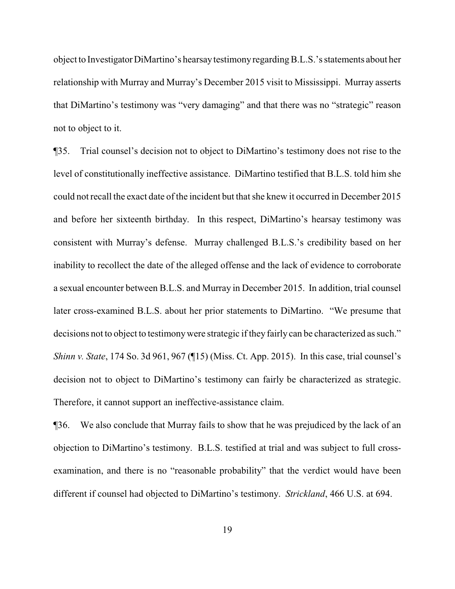object to InvestigatorDiMartino's hearsaytestimonyregarding B.L.S.'s statements about her relationship with Murray and Murray's December 2015 visit to Mississippi. Murray asserts that DiMartino's testimony was "very damaging" and that there was no "strategic" reason not to object to it.

¶35. Trial counsel's decision not to object to DiMartino's testimony does not rise to the level of constitutionally ineffective assistance. DiMartino testified that B.L.S. told him she could not recall the exact date of the incident but that she knew it occurred in December 2015 and before her sixteenth birthday. In this respect, DiMartino's hearsay testimony was consistent with Murray's defense. Murray challenged B.L.S.'s credibility based on her inability to recollect the date of the alleged offense and the lack of evidence to corroborate a sexual encounter between B.L.S. and Murray in December 2015. In addition, trial counsel later cross-examined B.L.S. about her prior statements to DiMartino. "We presume that decisions not to object to testimony were strategic if they fairly can be characterized as such." *Shinn v. State*, 174 So. 3d 961, 967 (¶15) (Miss. Ct. App. 2015). In this case, trial counsel's decision not to object to DiMartino's testimony can fairly be characterized as strategic. Therefore, it cannot support an ineffective-assistance claim.

¶36. We also conclude that Murray fails to show that he was prejudiced by the lack of an objection to DiMartino's testimony. B.L.S. testified at trial and was subject to full crossexamination, and there is no "reasonable probability" that the verdict would have been different if counsel had objected to DiMartino's testimony. *Strickland*, 466 U.S. at 694.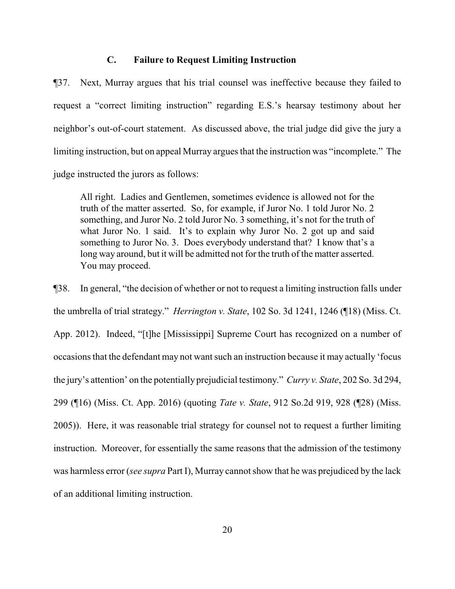#### **C. Failure to Request Limiting Instruction**

¶37. Next, Murray argues that his trial counsel was ineffective because they failed to request a "correct limiting instruction" regarding E.S.'s hearsay testimony about her neighbor's out-of-court statement. As discussed above, the trial judge did give the jury a limiting instruction, but on appeal Murray argues that the instruction was "incomplete." The judge instructed the jurors as follows:

All right. Ladies and Gentlemen, sometimes evidence is allowed not for the truth of the matter asserted. So, for example, if Juror No. 1 told Juror No. 2 something, and Juror No. 2 told Juror No. 3 something, it's not for the truth of what Juror No. 1 said. It's to explain why Juror No. 2 got up and said something to Juror No. 3. Does everybody understand that? I know that's a long way around, but it will be admitted not for the truth of the matter asserted. You may proceed.

¶38. In general, "the decision of whether or not to request a limiting instruction falls under the umbrella of trial strategy." *Herrington v. State*, 102 So. 3d 1241, 1246 (¶18) (Miss. Ct. App. 2012). Indeed, "[t]he [Mississippi] Supreme Court has recognized on a number of occasions that the defendant may not want such an instruction because it may actually 'focus the jury's attention' on the potentially prejudicial testimony." *Curry v. State*, 202 So. 3d 294, 299 (¶16) (Miss. Ct. App. 2016) (quoting *Tate v. State*, 912 So.2d 919, 928 (¶28) (Miss. 2005)). Here, it was reasonable trial strategy for counsel not to request a further limiting instruction. Moreover, for essentially the same reasons that the admission of the testimony was harmless error (*see supra* Part I), Murray cannot show that he was prejudiced by the lack of an additional limiting instruction.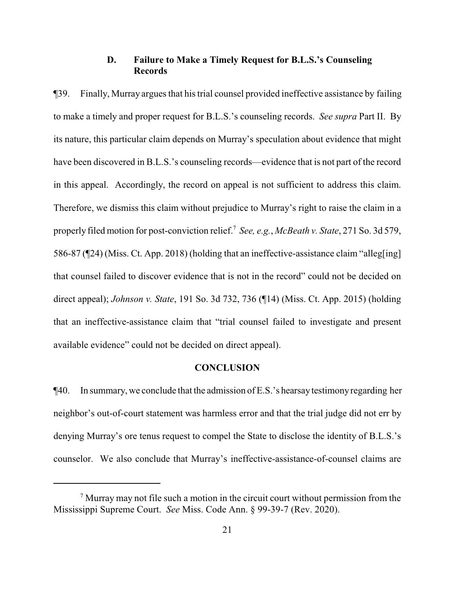## **D. Failure to Make a Timely Request for B.L.S.'s Counseling Records**

¶39. Finally, Murray argues that his trial counsel provided ineffective assistance by failing to make a timely and proper request for B.L.S.'s counseling records. *See supra* Part II. By its nature, this particular claim depends on Murray's speculation about evidence that might have been discovered in B.L.S.'s counseling records—evidence that is not part of the record in this appeal. Accordingly, the record on appeal is not sufficient to address this claim. Therefore, we dismiss this claim without prejudice to Murray's right to raise the claim in a properly filed motion for post-conviction relief. 7 *See, e.g.*, *McBeath v. State*, 271 So. 3d 579, 586-87 (¶24) (Miss. Ct. App. 2018) (holding that an ineffective-assistance claim "alleg[ing] that counsel failed to discover evidence that is not in the record" could not be decided on direct appeal); *Johnson v. State*, 191 So. 3d 732, 736 (¶14) (Miss. Ct. App. 2015) (holding that an ineffective-assistance claim that "trial counsel failed to investigate and present available evidence" could not be decided on direct appeal).

#### **CONCLUSION**

¶40. In summary, we conclude that the admission of E.S.'s hearsaytestimonyregarding her neighbor's out-of-court statement was harmless error and that the trial judge did not err by denying Murray's ore tenus request to compel the State to disclose the identity of B.L.S.'s counselor. We also conclude that Murray's ineffective-assistance-of-counsel claims are

 $<sup>7</sup>$  Murray may not file such a motion in the circuit court without permission from the</sup> Mississippi Supreme Court. *See* Miss. Code Ann. § 99-39-7 (Rev. 2020).